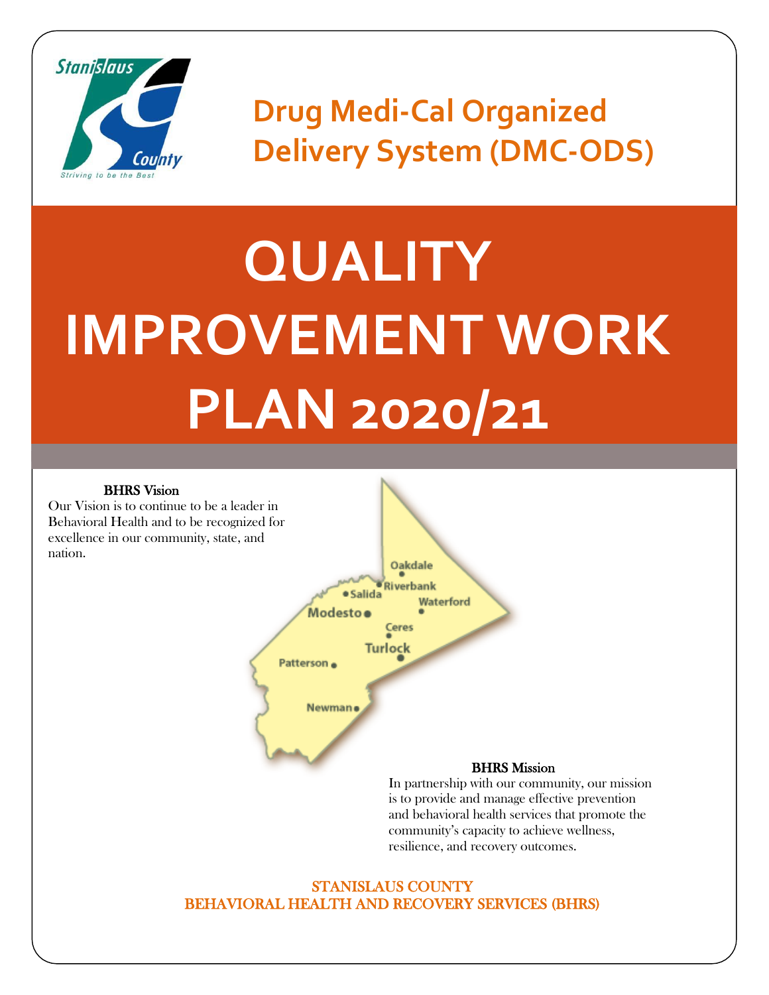

**Drug Medi-Cal Organized Delivery System (DMC-ODS)**

# **QUALITY IMPROVEMENT WORK PLAN 2020/21**

#### BHRS Vision

Our Vision is to continue to be a leader in Behavioral Health and to be recognized for excellence in our community, state, and nation.



In partnership with our community, our mission is to provide and manage effective prevention and behavioral health services that promote the community's capacity to achieve wellness, resilience, and recovery outcomes.

#### STANISLAUS COUNTY BEHAVIORAL HEALTH AND RECOVERY SERVICES (BHRS)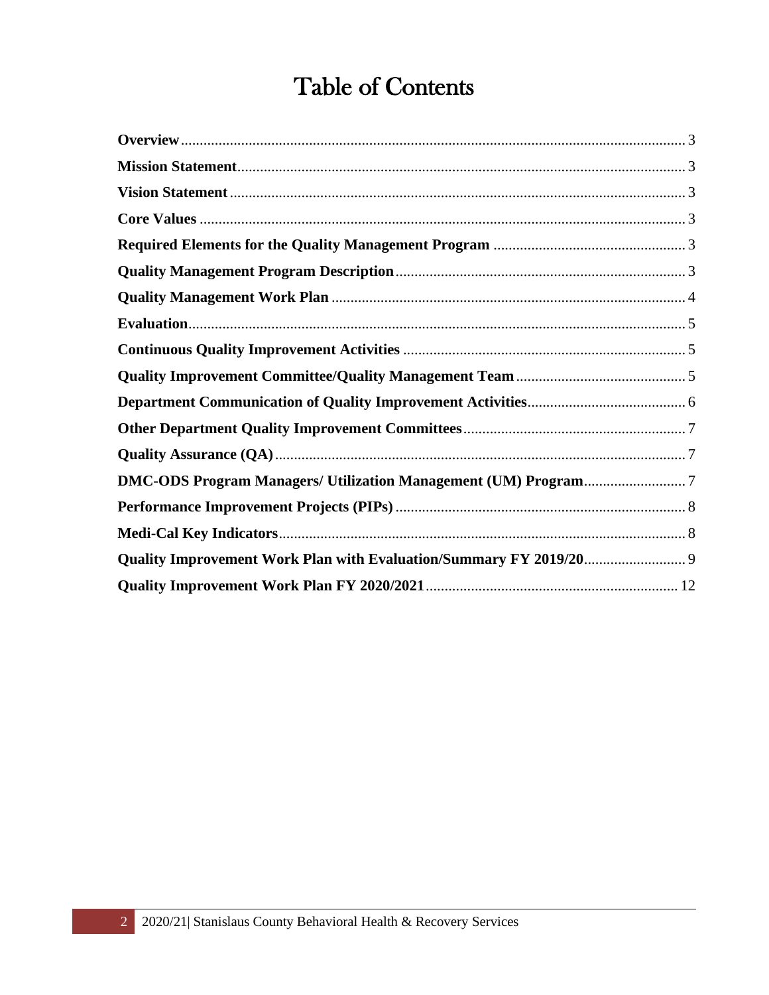## Table of Contents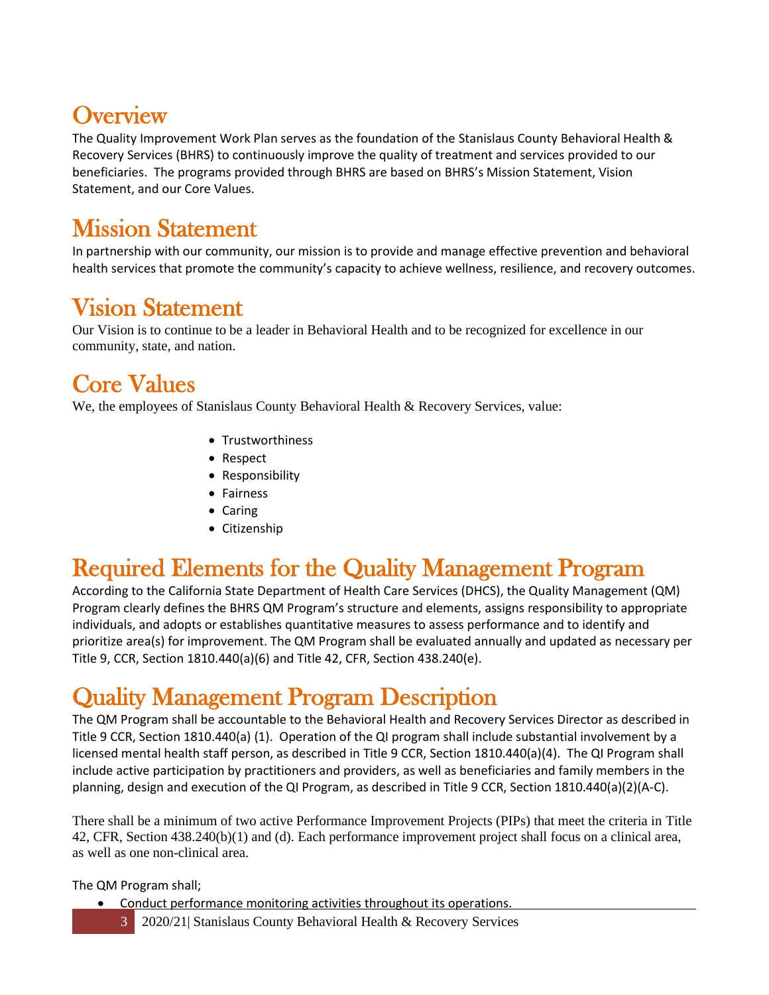#### <span id="page-2-0"></span>**Overview**

The Quality Improvement Work Plan serves as the foundation of the Stanislaus County Behavioral Health & Recovery Services (BHRS) to continuously improve the quality of treatment and services provided to our beneficiaries. The programs provided through BHRS are based on BHRS's Mission Statement, Vision Statement, and our Core Values.

#### <span id="page-2-1"></span>Mission Statement

In partnership with our community, our mission is to provide and manage effective prevention and behavioral health services that promote the community's capacity to achieve wellness, resilience, and recovery outcomes.

#### <span id="page-2-2"></span>Vision Statement

Our Vision is to continue to be a leader in Behavioral Health and to be recognized for excellence in our community, state, and nation.

#### <span id="page-2-3"></span>Core Values

We, the employees of Stanislaus County Behavioral Health & Recovery Services, value:

- Trustworthiness
- Respect
- Responsibility
- Fairness
- Caring
- Citizenship

#### <span id="page-2-4"></span>Required Elements for the Quality Management Program

According to the California State Department of Health Care Services (DHCS), the Quality Management (QM) Program clearly defines the BHRS QM Program's structure and elements, assigns responsibility to appropriate individuals, and adopts or establishes quantitative measures to assess performance and to identify and prioritize area(s) for improvement. The QM Program shall be evaluated annually and updated as necessary per Title 9, CCR, Section 1810.440(a)(6) and Title 42, CFR, Section 438.240(e).

#### <span id="page-2-5"></span>Quality Management Program Description

The QM Program shall be accountable to the Behavioral Health and Recovery Services Director as described in Title 9 CCR, Section 1810.440(a) (1). Operation of the QI program shall include substantial involvement by a licensed mental health staff person, as described in Title 9 CCR, Section 1810.440(a)(4). The QI Program shall include active participation by practitioners and providers, as well as beneficiaries and family members in the planning, design and execution of the QI Program, as described in Title 9 CCR, Section 1810.440(a)(2)(A-C).

There shall be a minimum of two active Performance Improvement Projects (PIPs) that meet the criteria in Title 42, CFR, Section 438.240(b)(1) and (d). Each performance improvement project shall focus on a clinical area, as well as one non-clinical area.

The QM Program shall;

- Conduct performance monitoring activities throughout its operations.
	- 3 2020/21| Stanislaus County Behavioral Health & Recovery Services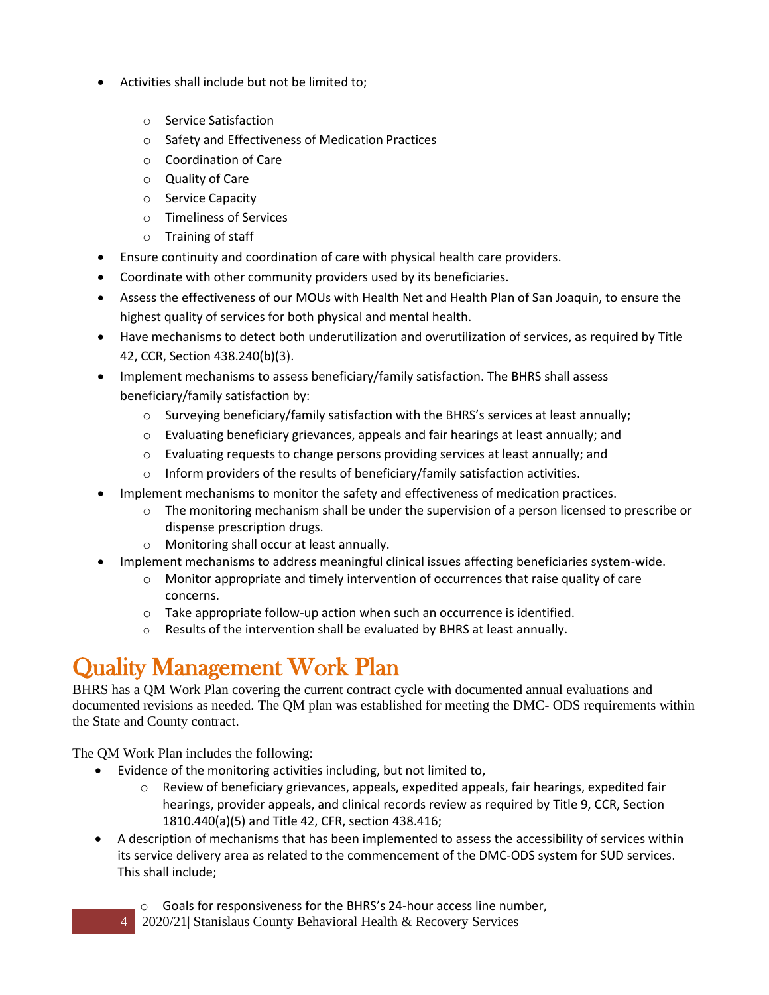- Activities shall include but not be limited to;
	- o Service Satisfaction
	- o Safety and Effectiveness of Medication Practices
	- o Coordination of Care
	- o Quality of Care
	- o Service Capacity
	- o Timeliness of Services
	- o Training of staff
- Ensure continuity and coordination of care with physical health care providers.
- Coordinate with other community providers used by its beneficiaries.
- Assess the effectiveness of our MOUs with Health Net and Health Plan of San Joaquin, to ensure the highest quality of services for both physical and mental health.
- Have mechanisms to detect both underutilization and overutilization of services, as required by Title 42, CCR, Section 438.240(b)(3).
- Implement mechanisms to assess beneficiary/family satisfaction. The BHRS shall assess beneficiary/family satisfaction by:
	- $\circ$  Surveying beneficiary/family satisfaction with the BHRS's services at least annually;
	- o Evaluating beneficiary grievances, appeals and fair hearings at least annually; and
	- o Evaluating requests to change persons providing services at least annually; and
	- $\circ$  Inform providers of the results of beneficiary/family satisfaction activities.
- Implement mechanisms to monitor the safety and effectiveness of medication practices.
	- $\circ$  The monitoring mechanism shall be under the supervision of a person licensed to prescribe or dispense prescription drugs.
	- o Monitoring shall occur at least annually.
- Implement mechanisms to address meaningful clinical issues affecting beneficiaries system-wide.
	- $\circ$  Monitor appropriate and timely intervention of occurrences that raise quality of care concerns.
	- $\circ$  Take appropriate follow-up action when such an occurrence is identified.
	- o Results of the intervention shall be evaluated by BHRS at least annually.

## <span id="page-3-0"></span>Quality Management Work Plan

BHRS has a QM Work Plan covering the current contract cycle with documented annual evaluations and documented revisions as needed. The QM plan was established for meeting the DMC- ODS requirements within the State and County contract.

The QM Work Plan includes the following:

- Evidence of the monitoring activities including, but not limited to,
	- $\circ$  Review of beneficiary grievances, appeals, expedited appeals, fair hearings, expedited fair hearings, provider appeals, and clinical records review as required by Title 9, CCR, Section 1810.440(a)(5) and Title 42, CFR, section 438.416;
- A description of mechanisms that has been implemented to assess the accessibility of services within its service delivery area as related to the commencement of the DMC-ODS system for SUD services. This shall include;

o Goals for responsiveness for the BHRS's 24-hour access line number,

4 2020/21| Stanislaus County Behavioral Health & Recovery Services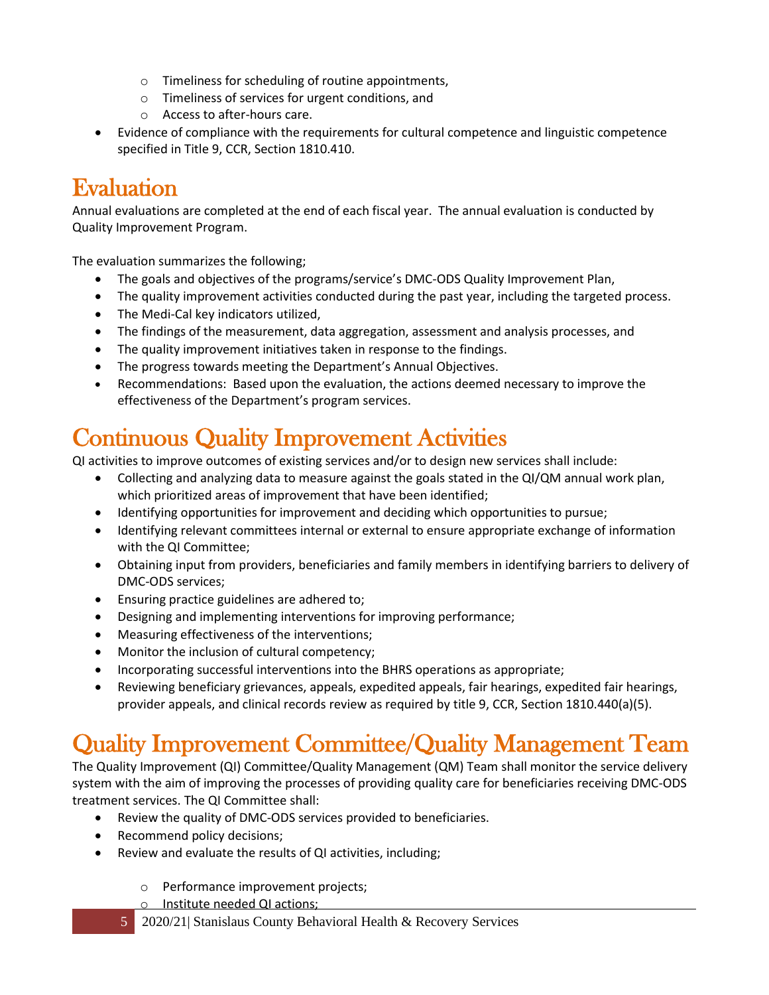- o Timeliness for scheduling of routine appointments,
- o Timeliness of services for urgent conditions, and
- o Access to after-hours care.
- Evidence of compliance with the requirements for cultural competence and linguistic competence specified in Title 9, CCR, Section 1810.410.

## <span id="page-4-0"></span>**Evaluation**

Annual evaluations are completed at the end of each fiscal year. The annual evaluation is conducted by Quality Improvement Program.

The evaluation summarizes the following;

- The goals and objectives of the programs/service's DMC-ODS Quality Improvement Plan,
- The quality improvement activities conducted during the past year, including the targeted process.
- The Medi-Cal key indicators utilized,
- The findings of the measurement, data aggregation, assessment and analysis processes, and
- The quality improvement initiatives taken in response to the findings.
- The progress towards meeting the Department's Annual Objectives.
- Recommendations: Based upon the evaluation, the actions deemed necessary to improve the effectiveness of the Department's program services.

## <span id="page-4-1"></span>Continuous Quality Improvement Activities

QI activities to improve outcomes of existing services and/or to design new services shall include:

- Collecting and analyzing data to measure against the goals stated in the QI/QM annual work plan, which prioritized areas of improvement that have been identified;
- Identifying opportunities for improvement and deciding which opportunities to pursue;
- Identifying relevant committees internal or external to ensure appropriate exchange of information with the QI Committee;
- Obtaining input from providers, beneficiaries and family members in identifying barriers to delivery of DMC-ODS services;
- Ensuring practice guidelines are adhered to;
- Designing and implementing interventions for improving performance;
- Measuring effectiveness of the interventions;
- Monitor the inclusion of cultural competency;
- Incorporating successful interventions into the BHRS operations as appropriate;
- Reviewing beneficiary grievances, appeals, expedited appeals, fair hearings, expedited fair hearings, provider appeals, and clinical records review as required by title 9, CCR, Section 1810.440(a)(5).

#### <span id="page-4-2"></span>Quality Improvement Committee/Quality Management Team

The Quality Improvement (QI) Committee/Quality Management (QM) Team shall monitor the service delivery system with the aim of improving the processes of providing quality care for beneficiaries receiving DMC-ODS treatment services. The QI Committee shall:

- Review the quality of DMC-ODS services provided to beneficiaries.
- Recommend policy decisions;
- Review and evaluate the results of QI activities, including;
	- o Performance improvement projects;
	- o Institute needed QI actions;
	- 5 2020/21| Stanislaus County Behavioral Health & Recovery Services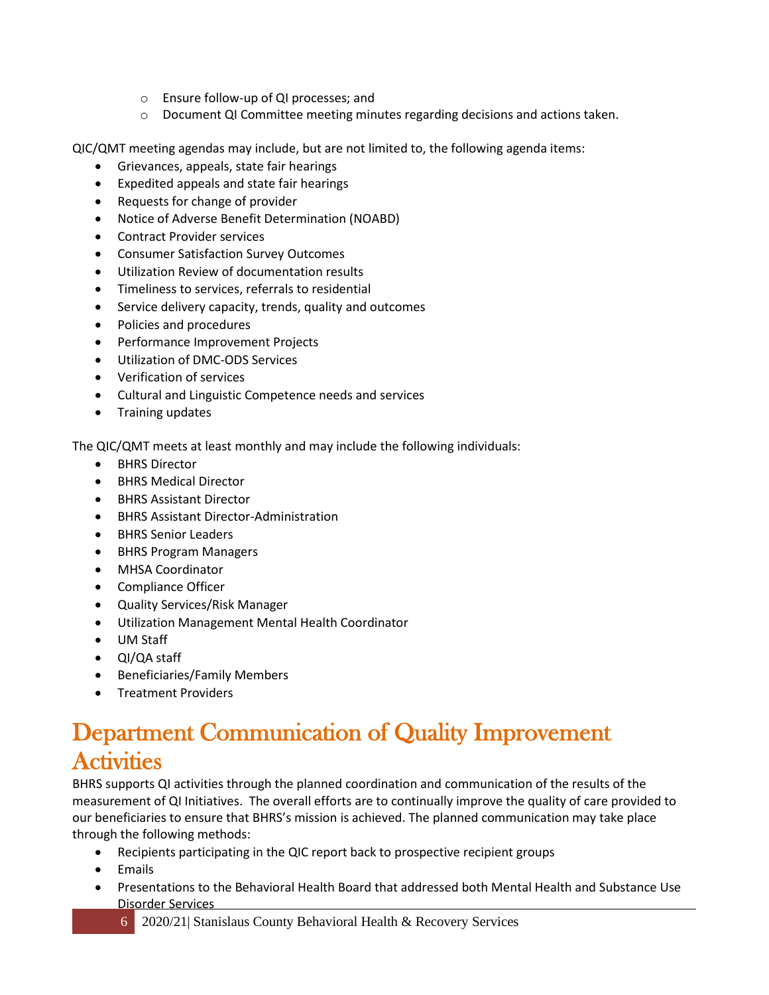- o Ensure follow-up of QI processes; and
- $\circ$  Document QI Committee meeting minutes regarding decisions and actions taken.

QIC/QMT meeting agendas may include, but are not limited to, the following agenda items:

- Grievances, appeals, state fair hearings
- Expedited appeals and state fair hearings
- Requests for change of provider
- Notice of Adverse Benefit Determination (NOABD)
- Contract Provider services
- Consumer Satisfaction Survey Outcomes
- Utilization Review of documentation results
- Timeliness to services, referrals to residential
- Service delivery capacity, trends, quality and outcomes
- Policies and procedures
- Performance Improvement Projects
- Utilization of DMC-ODS Services
- Verification of services
- Cultural and Linguistic Competence needs and services
- Training updates

The QIC/QMT meets at least monthly and may include the following individuals:

- BHRS Director
- BHRS Medical Director
- BHRS Assistant Director
- BHRS Assistant Director-Administration
- BHRS Senior Leaders
- BHRS Program Managers
- MHSA Coordinator
- Compliance Officer
- Quality Services/Risk Manager
- Utilization Management Mental Health Coordinator
- UM Staff
- QI/QA staff
- Beneficiaries/Family Members
- Treatment Providers

#### <span id="page-5-0"></span>Department Communication of Quality Improvement **Activities**

BHRS supports QI activities through the planned coordination and communication of the results of the measurement of QI Initiatives. The overall efforts are to continually improve the quality of care provided to our beneficiaries to ensure that BHRS's mission is achieved. The planned communication may take place through the following methods:

- Recipients participating in the QIC report back to prospective recipient groups
- Emails
- Presentations to the Behavioral Health Board that addressed both Mental Health and Substance Use Disorder Services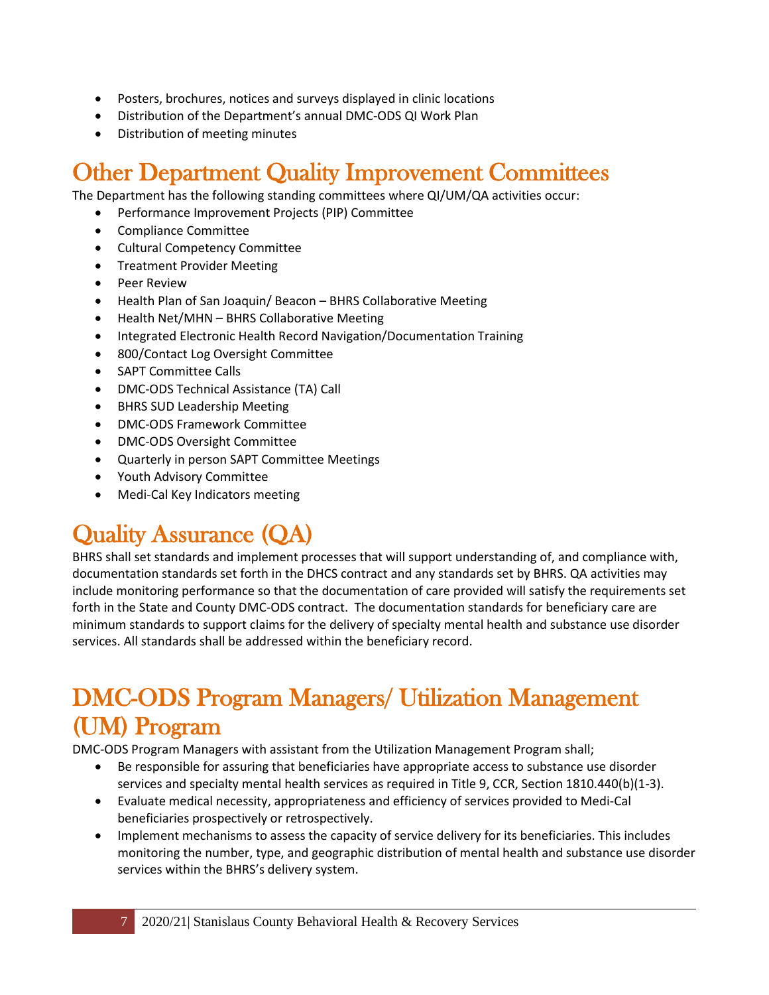- Posters, brochures, notices and surveys displayed in clinic locations
- Distribution of the Department's annual DMC-ODS QI Work Plan
- Distribution of meeting minutes

#### <span id="page-6-0"></span>Other Department Quality Improvement Committees

The Department has the following standing committees where QI/UM/QA activities occur:

- Performance Improvement Projects (PIP) Committee
- Compliance Committee
- Cultural Competency Committee
- Treatment Provider Meeting
- Peer Review
- Health Plan of San Joaquin/ Beacon BHRS Collaborative Meeting
- Health Net/MHN BHRS Collaborative Meeting
- Integrated Electronic Health Record Navigation/Documentation Training
- 800/Contact Log Oversight Committee
- SAPT Committee Calls
- DMC-ODS Technical Assistance (TA) Call
- BHRS SUD Leadership Meeting
- DMC-ODS Framework Committee
- DMC-ODS Oversight Committee
- Quarterly in person SAPT Committee Meetings
- Youth Advisory Committee
- Medi-Cal Key Indicators meeting

## <span id="page-6-1"></span>Quality Assurance (QA)

BHRS shall set standards and implement processes that will support understanding of, and compliance with, documentation standards set forth in the DHCS contract and any standards set by BHRS. QA activities may include monitoring performance so that the documentation of care provided will satisfy the requirements set forth in the State and County DMC-ODS contract. The documentation standards for beneficiary care are minimum standards to support claims for the delivery of specialty mental health and substance use disorder services. All standards shall be addressed within the beneficiary record.

#### <span id="page-6-2"></span>DMC-ODS Program Managers/ Utilization Management (UM) Program

DMC-ODS Program Managers with assistant from the Utilization Management Program shall;

- Be responsible for assuring that beneficiaries have appropriate access to substance use disorder services and specialty mental health services as required in Title 9, CCR, Section 1810.440(b)(1-3).
- Evaluate medical necessity, appropriateness and efficiency of services provided to Medi-Cal beneficiaries prospectively or retrospectively.
- Implement mechanisms to assess the capacity of service delivery for its beneficiaries. This includes monitoring the number, type, and geographic distribution of mental health and substance use disorder services within the BHRS's delivery system.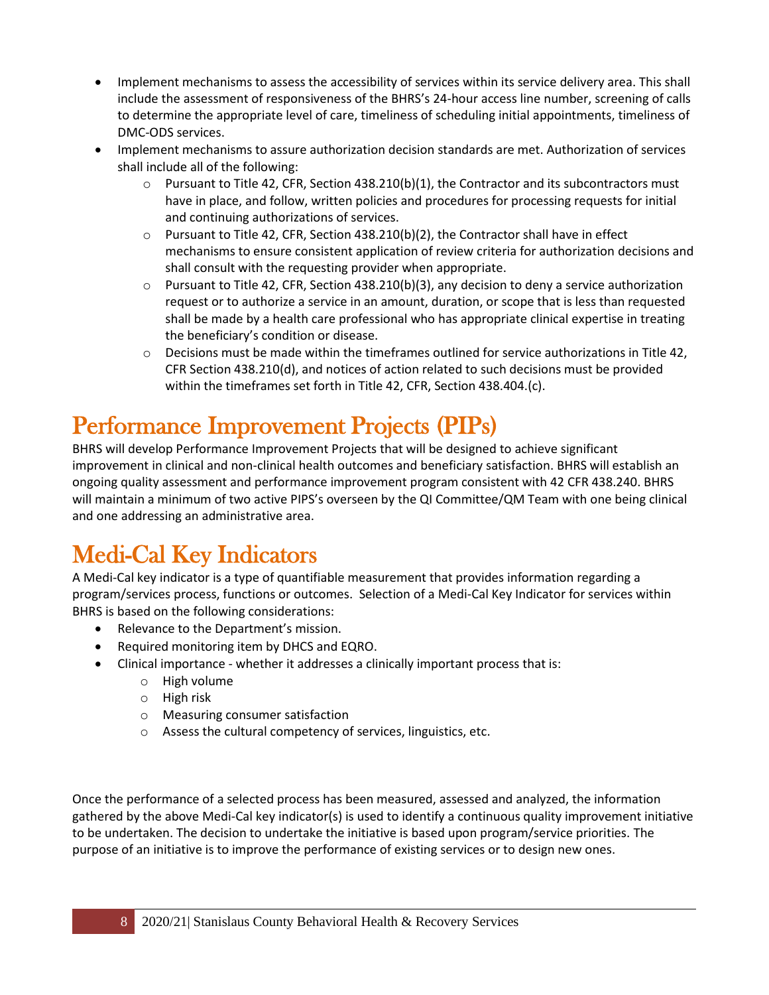- Implement mechanisms to assess the accessibility of services within its service delivery area. This shall include the assessment of responsiveness of the BHRS's 24-hour access line number, screening of calls to determine the appropriate level of care, timeliness of scheduling initial appointments, timeliness of DMC-ODS services.
- Implement mechanisms to assure authorization decision standards are met. Authorization of services shall include all of the following:
	- $\circ$  Pursuant to Title 42, CFR, Section 438.210(b)(1), the Contractor and its subcontractors must have in place, and follow, written policies and procedures for processing requests for initial and continuing authorizations of services.
	- $\circ$  Pursuant to Title 42, CFR, Section 438.210(b)(2), the Contractor shall have in effect mechanisms to ensure consistent application of review criteria for authorization decisions and shall consult with the requesting provider when appropriate.
	- $\circ$  Pursuant to Title 42, CFR, Section 438.210(b)(3), any decision to deny a service authorization request or to authorize a service in an amount, duration, or scope that is less than requested shall be made by a health care professional who has appropriate clinical expertise in treating the beneficiary's condition or disease.
	- $\circ$  Decisions must be made within the timeframes outlined for service authorizations in Title 42, CFR Section 438.210(d), and notices of action related to such decisions must be provided within the timeframes set forth in Title 42, CFR, Section 438.404.(c).

## <span id="page-7-0"></span>Performance Improvement Projects (PIPs)

BHRS will develop Performance Improvement Projects that will be designed to achieve significant improvement in clinical and non-clinical health outcomes and beneficiary satisfaction. BHRS will establish an ongoing quality assessment and performance improvement program consistent with 42 CFR 438.240. BHRS will maintain a minimum of two active PIPS's overseen by the QI Committee/QM Team with one being clinical and one addressing an administrative area.

## <span id="page-7-1"></span>Medi-Cal Key Indicators

A Medi-Cal key indicator is a type of quantifiable measurement that provides information regarding a program/services process, functions or outcomes. Selection of a Medi-Cal Key Indicator for services within BHRS is based on the following considerations:

- Relevance to the Department's mission.
- Required monitoring item by DHCS and EQRO.
- Clinical importance whether it addresses a clinically important process that is:
	- o High volume
	- o High risk
	- o Measuring consumer satisfaction
	- o Assess the cultural competency of services, linguistics, etc.

Once the performance of a selected process has been measured, assessed and analyzed, the information gathered by the above Medi-Cal key indicator(s) is used to identify a continuous quality improvement initiative to be undertaken. The decision to undertake the initiative is based upon program/service priorities. The purpose of an initiative is to improve the performance of existing services or to design new ones.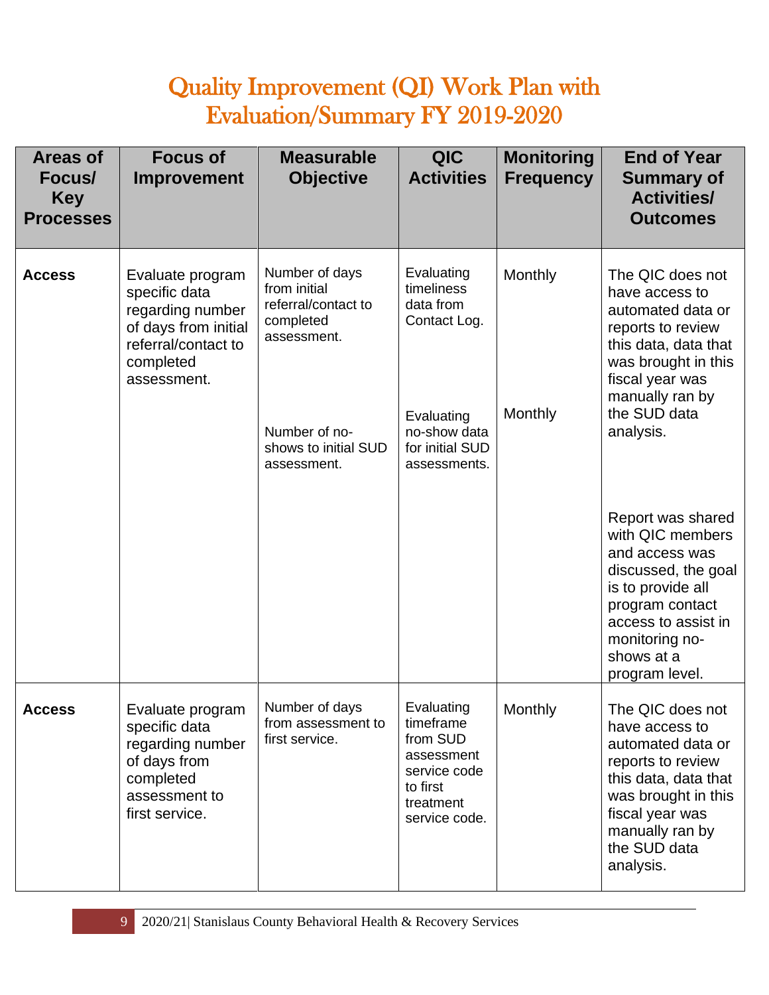## Quality Improvement (QI) Work Plan with Evaluation/Summary FY 2019-2020

| <b>Areas of</b><br>Focus/<br><b>Key</b><br><b>Processes</b> | <b>Focus of</b><br>Improvement                                                                                                   | <b>Measurable</b><br><b>Objective</b>                                             | <b>QIC</b><br><b>Activities</b>                                                                             | <b>Monitoring</b><br><b>Frequency</b> | <b>End of Year</b><br><b>Summary of</b><br><b>Activities/</b><br><b>Outcomes</b>                                                                                                                |
|-------------------------------------------------------------|----------------------------------------------------------------------------------------------------------------------------------|-----------------------------------------------------------------------------------|-------------------------------------------------------------------------------------------------------------|---------------------------------------|-------------------------------------------------------------------------------------------------------------------------------------------------------------------------------------------------|
| <b>Access</b>                                               | Evaluate program<br>specific data<br>regarding number<br>of days from initial<br>referral/contact to<br>completed<br>assessment. | Number of days<br>from initial<br>referral/contact to<br>completed<br>assessment. | Evaluating<br>timeliness<br>data from<br>Contact Log.                                                       | Monthly                               | The QIC does not<br>have access to<br>automated data or<br>reports to review<br>this data, data that<br>was brought in this<br>fiscal year was<br>manually ran by<br>the SUD data<br>analysis.  |
|                                                             |                                                                                                                                  | Number of no-<br>shows to initial SUD<br>assessment.                              | Evaluating<br>no-show data<br>for initial SUD<br>assessments.                                               | Monthly                               |                                                                                                                                                                                                 |
|                                                             |                                                                                                                                  |                                                                                   |                                                                                                             |                                       | Report was shared<br>with QIC members<br>and access was<br>discussed, the goal<br>is to provide all<br>program contact<br>access to assist in<br>monitoring no-<br>shows at a<br>program level. |
| <b>ACCESS</b>                                               | Evaluate program<br>specific data<br>regarding number<br>of days from<br>completed<br>assessment to<br>first service.            | Number of days<br>from assessment to<br>first service.                            | Evaluating<br>timeframe<br>from SUD<br>assessment<br>service code<br>to first<br>treatment<br>service code. | Monthly                               | The QIC does not<br>have access to<br>automated data or<br>reports to review<br>this data, data that<br>was brought in this<br>fiscal year was<br>manually ran by<br>the SUD data<br>analysis.  |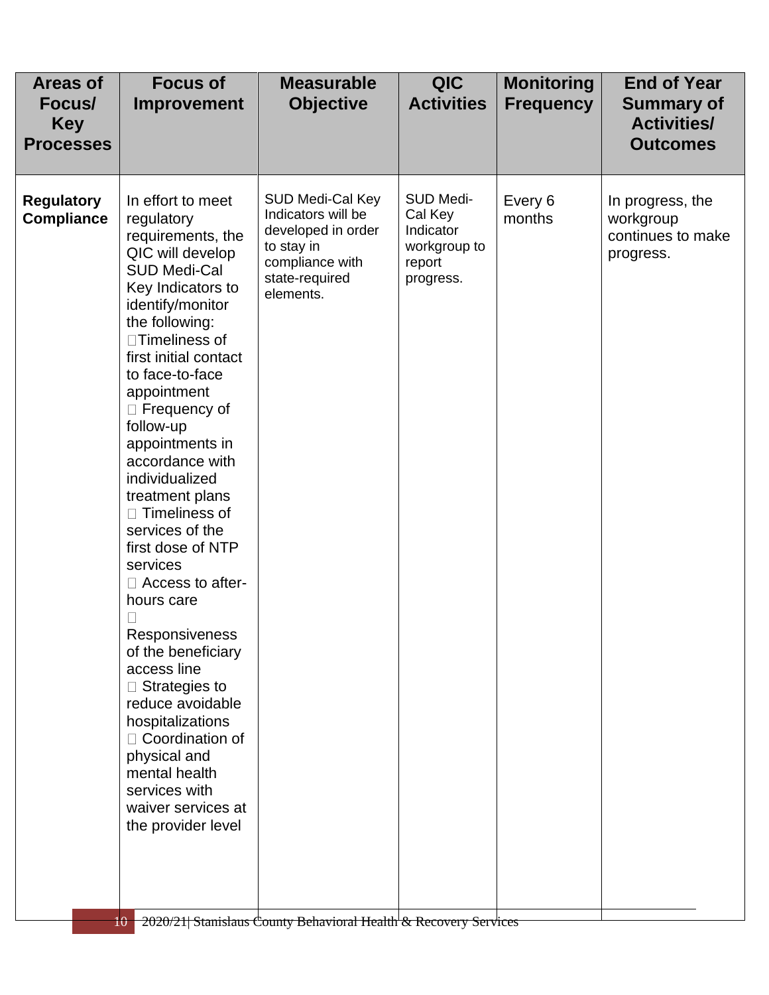| Areas of<br>Focus/<br><b>Key</b><br><b>Processes</b> | <b>Focus of</b><br>Improvement                                                                                                                                                                                                                                                                                                                                                                                                                                                                                                                                                                                                                                                                                             | <b>Measurable</b><br><b>Objective</b>                                                                                        | QIC<br><b>Activities</b>                                                 | <b>Monitoring</b><br><b>Frequency</b> | <b>End of Year</b><br><b>Summary of</b><br><b>Activities/</b><br><b>Outcomes</b> |
|------------------------------------------------------|----------------------------------------------------------------------------------------------------------------------------------------------------------------------------------------------------------------------------------------------------------------------------------------------------------------------------------------------------------------------------------------------------------------------------------------------------------------------------------------------------------------------------------------------------------------------------------------------------------------------------------------------------------------------------------------------------------------------------|------------------------------------------------------------------------------------------------------------------------------|--------------------------------------------------------------------------|---------------------------------------|----------------------------------------------------------------------------------|
| <b>Regulatory</b><br><b>Compliance</b>               | In effort to meet<br>regulatory<br>requirements, the<br>QIC will develop<br><b>SUD Medi-Cal</b><br>Key Indicators to<br>identify/monitor<br>the following:<br>□Timeliness of<br>first initial contact<br>to face-to-face<br>appointment<br>$\Box$ Frequency of<br>follow-up<br>appointments in<br>accordance with<br>individualized<br>treatment plans<br>$\Box$ Timeliness of<br>services of the<br>first dose of NTP<br>services<br>$\Box$ Access to after-<br>hours care<br>Responsiveness<br>of the beneficiary<br>access line<br>$\Box$ Strategies to<br>reduce avoidable<br>hospitalizations<br>$\Box$ Coordination of<br>physical and<br>mental health<br>services with<br>waiver services at<br>the provider level | SUD Medi-Cal Key<br>Indicators will be<br>developed in order<br>to stay in<br>compliance with<br>state-required<br>elements. | SUD Medi-<br>Cal Key<br>Indicator<br>workgroup to<br>report<br>progress. | Every 6<br>months                     | In progress, the<br>workgroup<br>continues to make<br>progress.                  |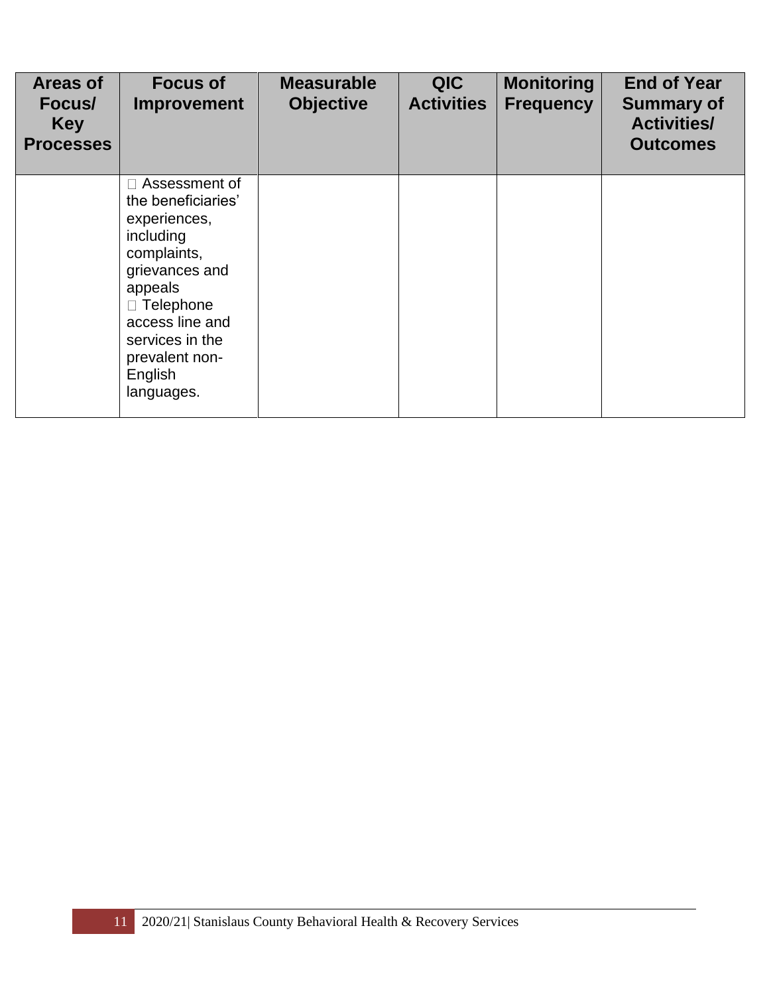| <b>Areas of</b><br>Focus/<br><b>Key</b><br><b>Processes</b> | <b>Focus of</b><br><b>Improvement</b>                                                                                                                                                                        | <b>Measurable</b><br><b>Objective</b> | <b>QIC</b><br><b>Activities</b> | <b>Monitoring</b><br><b>Frequency</b> | <b>End of Year</b><br><b>Summary of</b><br><b>Activities/</b><br><b>Outcomes</b> |
|-------------------------------------------------------------|--------------------------------------------------------------------------------------------------------------------------------------------------------------------------------------------------------------|---------------------------------------|---------------------------------|---------------------------------------|----------------------------------------------------------------------------------|
|                                                             | Assessment of<br>the beneficiaries'<br>experiences,<br>including<br>complaints,<br>grievances and<br>appeals<br>□ Telephone<br>access line and<br>services in the<br>prevalent non-<br>English<br>languages. |                                       |                                 |                                       |                                                                                  |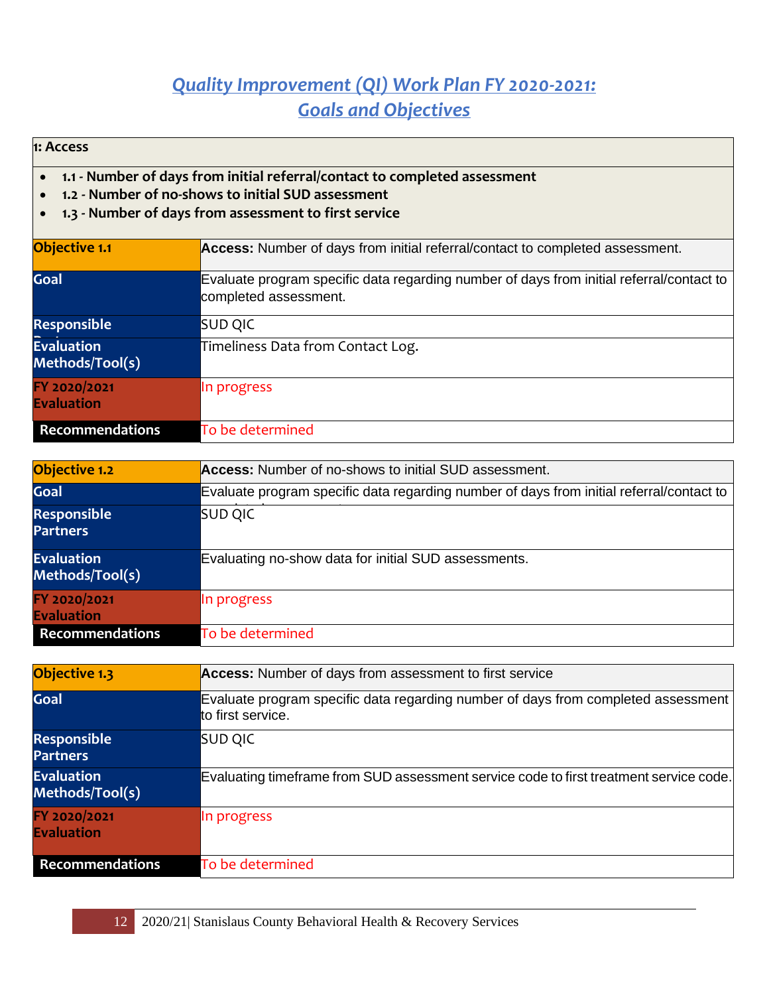#### *Quality Improvement (QI) Work Plan FY 2020-2021: Goals and Objectives*

**1: Access**

- **1.1 - Number of days from initial referral/contact to completed assessment**
- **1.2 - Number of no-shows to initial SUD assessment**
- **1.3 - Number of days from assessment to first service**

| <b>Objective 1.1</b>                 | Access: Number of days from initial referral/contact to completed assessment.                                     |
|--------------------------------------|-------------------------------------------------------------------------------------------------------------------|
| Goal                                 | Evaluate program specific data regarding number of days from initial referral/contact to<br>completed assessment. |
| <b>Responsible</b>                   | <b>SUD QIC</b>                                                                                                    |
| <b>Evaluation</b><br>Methods/Tool(s) | Timeliness Data from Contact Log.                                                                                 |
| FY 2020/2021<br><b>Evaluation</b>    | In progress                                                                                                       |
| <b>Recommendations</b>               | To be determined                                                                                                  |

| Objective 1.2                         | Access: Number of no-shows to initial SUD assessment.                                    |
|---------------------------------------|------------------------------------------------------------------------------------------|
| Goal                                  | Evaluate program specific data regarding number of days from initial referral/contact to |
| <b>Responsible</b><br><b>Partners</b> | <b>SUD QIC</b>                                                                           |
| <b>Evaluation</b><br>Methods/Tool(s)  | Evaluating no-show data for initial SUD assessments.                                     |
| FY 2020/2021<br><b>Evaluation</b>     | In progress                                                                              |
| Recommendations                       | To be determined                                                                         |

| Objective 1.3                         | Access: Number of days from assessment to first service                                                |
|---------------------------------------|--------------------------------------------------------------------------------------------------------|
| Goal                                  | Evaluate program specific data regarding number of days from completed assessment<br>to first service. |
| <b>Responsible</b><br><b>Partners</b> | <b>SUD QIC</b>                                                                                         |
| <b>Evaluation</b><br>Methods/Tool(s)  | Evaluating timeframe from SUD assessment service code to first treatment service code.                 |
| FY 2020/2021<br><b>Evaluation</b>     | In progress                                                                                            |
| <b>Recommendations</b>                | To be determined                                                                                       |